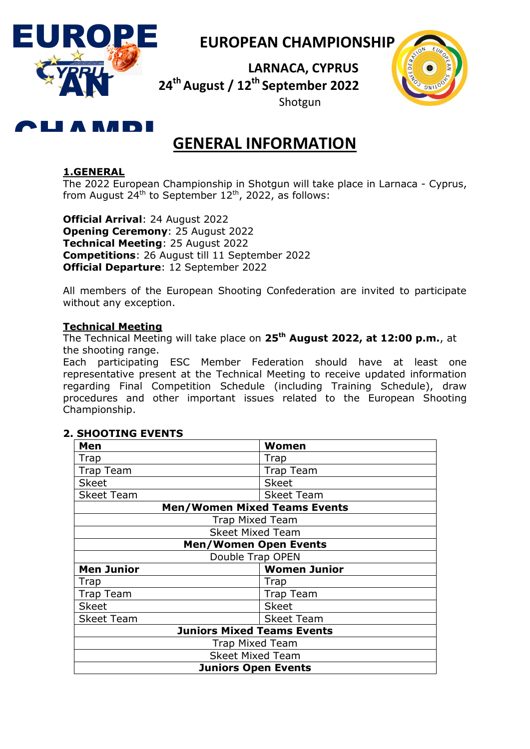

## **EUROPEAN CHAMPIONSHIP**

 **LARNACA, CYPRUS 24th August / 12th September 2022** Shotgun



## R R*a* ni

# **GENERAL INFORMATION**

## **1.GENERAL**

1.GENERAL<br>The 2022 European Championship in Shotgun will take<br>from August 24<sup>th</sup> to September 12<sup>th</sup>, 2022, as follows: The 2022 European Championship in Shotgun will take place in Larnaca - Cyprus,

Official Arrival: 24<br>Opening Ceremon<br>Technical Meeting **Official Departure**: 12 September 2022<br>All members of the European Shooting **Official Arrival**: 24 August 2022 **Opening Ceremony**: 25 August 2022 **Technical Meeting**: 25 August 2022 **Competitions**: 26 August till 11 September 2022

All members of the European Shooting Confederation are invited to participate without any exception.

## **Technical Meeting**

The Technical Meeting will take place on **25 th August 2022, at 12:00 p.m.**, at the shooting range.

Each participating ESC Member Federation should have at least one representative present at the Technical Meeting to receive updated information regarding Final Competition Schedule (including Training Schedule), draw procedures and other important issues related to the European Shooting Championship.

| Men                                      | Women                               |  |  |
|------------------------------------------|-------------------------------------|--|--|
| Trap                                     | Trap                                |  |  |
| <b>Trap Team</b>                         | <b>Trap Team</b>                    |  |  |
| <b>Skeet</b>                             | <b>Skeet</b>                        |  |  |
| <b>Skeet Team</b>                        | <b>Skeet Team</b>                   |  |  |
|                                          | <b>Men/Women Mixed Teams Events</b> |  |  |
|                                          | <b>Trap Mixed Team</b>              |  |  |
|                                          | <b>Skeet Mixed Team</b>             |  |  |
| <b>Men/Women Open Events</b>             |                                     |  |  |
|                                          | Double Trap OPEN                    |  |  |
| <b>Women Junior</b><br><b>Men Junior</b> |                                     |  |  |
| Trap                                     | Trap                                |  |  |
| <b>Trap Team</b><br><b>Trap Team</b>     |                                     |  |  |
| <b>Skeet</b><br><b>Skeet</b>             |                                     |  |  |
| <b>Skeet Team</b><br><b>Skeet Team</b>   |                                     |  |  |
| <b>Juniors Mixed Teams Events</b>        |                                     |  |  |
| <b>Trap Mixed Team</b>                   |                                     |  |  |
|                                          | <b>Skeet Mixed Team</b>             |  |  |
| <b>Juniors Open Events</b>               |                                     |  |  |

## **2. SHOOTING EVENTS**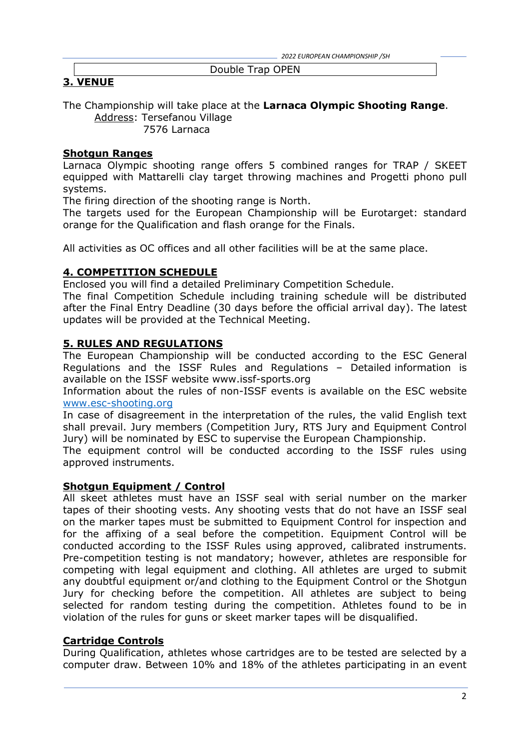*2022 EUROPEAN CHAMPIONSHIP /SH*

#### Double Trap OPEN

## **3. VENUE**

The Championship will take place at the **Larnaca Olympic Shooting Range**. Address: Tersefanou Village

7576 Larnaca

## **Shotgun Ranges**

Larnaca Olympic shooting range offers 5 combined ranges for TRAP / SKEET equipped with Mattarelli clay target throwing machines and Progetti phono pull systems.

The firing direction of the shooting range is North.

The targets used for the European Championship will be Eurotarget: standard orange for the Qualification and flash orange for the Finals.

All activities as OC offices and all other facilities will be at the same place.

## **4. COMPETITION SCHEDULE**

Enclosed you will find a detailed Preliminary Competition Schedule.

The final Competition Schedule including training schedule will be distributed after the Final Entry Deadline (30 days before the official arrival day). The latest updates will be provided at the Technical Meeting.

## **5. RULES AND REGULATIONS**

The European Championship will be conducted according to the ESC General Regulations and the ISSF Rules and Regulations – Detailed information is available on the ISSF website [www.issf-sports.org](http://www.issf-sports.org/)

Information about the rules of non-ISSF events is available on the ESC website [www.esc-shooting.org](http://www.esc-shooting.org/)

In case of disagreement in the interpretation of the rules, the valid English text shall prevail. Jury members (Competition Jury, RTS Jury and Equipment Control Jury) will be nominated by ESC to supervise the European Championship.

The equipment control will be conducted according to the ISSF rules using approved instruments.

#### **Shotgun Equipment / Control**

All skeet athletes must have an ISSF seal with serial number on the marker tapes of their shooting vests. Any shooting vests that do not have an ISSF seal on the marker tapes must be submitted to Equipment Control for inspection and for the affixing of a seal before the competition. Equipment Control will be conducted according to the ISSF Rules using approved, calibrated instruments. Pre-competition testing is not mandatory; however, athletes are responsible for competing with legal equipment and clothing. All athletes are urged to submit any doubtful equipment or/and clothing to the Equipment Control or the Shotgun Jury for checking before the competition. All athletes are subject to being selected for random testing during the competition. Athletes found to be in violation of the rules for guns or skeet marker tapes will be disqualified.

#### **Cartridge Controls**

During Qualification, athletes whose cartridges are to be tested are selected by a computer draw. Between 10% and 18% of the athletes participating in an event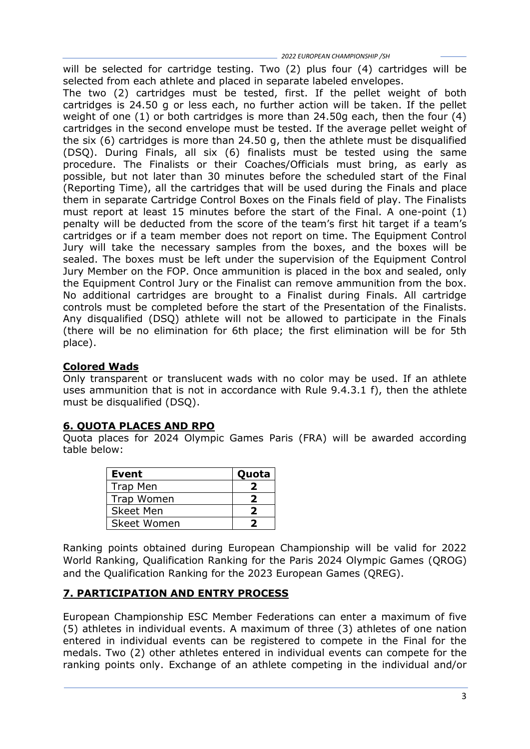will be selected for cartridge testing. Two (2) plus four (4) cartridges will be selected from each athlete and placed in separate labeled envelopes.

The two (2) cartridges must be tested, first. If the pellet weight of both cartridges is 24.50 g or less each, no further action will be taken. If the pellet weight of one (1) or both cartridges is more than 24.50g each, then the four (4) cartridges in the second envelope must be tested. If the average pellet weight of the six (6) cartridges is more than 24.50 g, then the athlete must be disqualified (DSQ). During Finals, all six (6) finalists must be tested using the same procedure. The Finalists or their Coaches/Officials must bring, as early as possible, but not later than 30 minutes before the scheduled start of the Final (Reporting Time), all the cartridges that will be used during the Finals and place them in separate Cartridge Control Boxes on the Finals field of play. The Finalists must report at least 15 minutes before the start of the Final. A one-point (1) penalty will be deducted from the score of the team"s first hit target if a team"s cartridges or if a team member does not report on time. The Equipment Control Jury will take the necessary samples from the boxes, and the boxes will be sealed. The boxes must be left under the supervision of the Equipment Control Jury Member on the FOP. Once ammunition is placed in the box and sealed, only the Equipment Control Jury or the Finalist can remove ammunition from the box. No additional cartridges are brought to a Finalist during Finals. All cartridge controls must be completed before the start of the Presentation of the Finalists. Any disqualified (DSQ) athlete will not be allowed to participate in the Finals (there will be no elimination for 6th place; the first elimination will be for 5th place).

## **Colored Wads**

Only transparent or translucent wads with no color may be used. If an athlete uses ammunition that is not in accordance with Rule 9.4.3.1 f), then the athlete must be disqualified (DSQ).

## **6. QUOTA PLACES AND RPO**

Quota places for 2024 Olympic Games Paris (FRA) will be awarded according table below:

| <b>Event</b>     | Quota |
|------------------|-------|
| <b>Trap Men</b>  |       |
| Trap Women       |       |
| <b>Skeet Men</b> |       |
| Skeet Women      |       |

Ranking points obtained during European Championship will be valid for 2022 World Ranking, Qualification Ranking for the Paris 2024 Olympic Games (QROG) and the Qualification Ranking for the 2023 European Games (QREG).

## **7. PARTICIPATION AND ENTRY PROCESS**

European Championship ESC Member Federations can enter a maximum of five (5) athletes in individual events. A maximum of three (3) athletes of one nation entered in individual events can be registered to compete in the Final for the medals. Two (2) other athletes entered in individual events can compete for the ranking points only. Exchange of an athlete competing in the individual and/or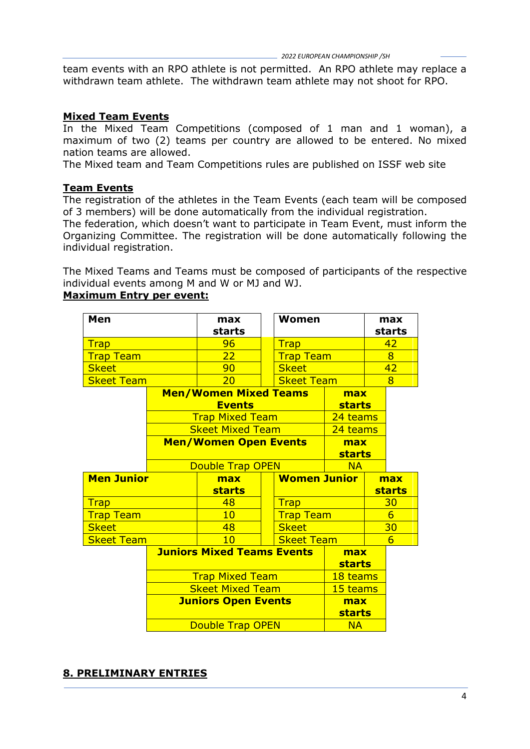team events with an RPO athlete is not permitted. An RPO athlete may replace a withdrawn team athlete. The withdrawn team athlete may not shoot for RPO.

#### **Mixed Team Events**

In the Mixed Team Competitions (composed of 1 man and 1 woman), a maximum of two (2) teams per country are allowed to be entered. No mixed nation teams are allowed.

The Mixed team and Team Competitions rules are published on ISSF web site

#### **Team Events**

The registration of the athletes in the Team Events (each team will be composed of 3 members) will be done automatically from the individual registration.

The federation, which doesn't want to participate in Team Event, must inform the Organizing Committee. The registration will be done automatically following the individual registration.

The Mixed Teams and Teams must be composed of participants of the respective individual events among M and W or MJ and WJ.

#### **Maximum Entry per event:**

| Men               |  | max<br>starts                     | <b>Women</b>        |               | max<br>starts   |
|-------------------|--|-----------------------------------|---------------------|---------------|-----------------|
| <b>Trap</b>       |  | 96                                | <b>Trap</b>         |               | 42              |
| <b>Trap Team</b>  |  | 22                                | <b>Trap Team</b>    |               | $\overline{8}$  |
| <b>Skeet</b>      |  | 90                                | <b>Skeet</b>        |               | 42              |
| <b>Skeet Team</b> |  | 20                                | <b>Skeet Team</b>   |               | 8               |
|                   |  | <b>Men/Women Mixed Teams</b>      |                     | max           |                 |
|                   |  | <b>Events</b>                     |                     | <b>starts</b> |                 |
|                   |  | <b>Trap Mixed Team</b>            |                     | 24 teams      |                 |
|                   |  | <b>Skeet Mixed Team</b>           |                     | 24 teams      |                 |
|                   |  | <b>Men/Women Open Events</b>      |                     | max           |                 |
|                   |  |                                   | <b>starts</b>       |               |                 |
|                   |  | <b>Double Trap OPEN</b>           |                     | <b>NA</b>     |                 |
| <b>Men Junior</b> |  |                                   | <b>Women Junior</b> |               |                 |
|                   |  | max                               |                     |               | max             |
|                   |  | <b>starts</b>                     |                     |               | <b>starts</b>   |
| <b>Trap</b>       |  | 48                                | <b>Trap</b>         |               | 30              |
| <b>Trap Team</b>  |  | 10                                | <b>Trap Team</b>    |               | $6\overline{6}$ |
| <b>Skeet</b>      |  | 48                                | <b>Skeet</b>        |               | 30              |
| <b>Skeet Team</b> |  | 10                                | <b>Skeet Team</b>   |               | $6\overline{}$  |
|                   |  | <b>Juniors Mixed Teams Events</b> |                     | max           |                 |
|                   |  |                                   |                     | <b>starts</b> |                 |
|                   |  | <b>Trap Mixed Team</b>            |                     | 18 teams      |                 |
|                   |  | <b>Skeet Mixed Team</b>           |                     | 15 teams      |                 |
|                   |  | <b>Juniors Open Events</b>        |                     | max           |                 |
|                   |  |                                   |                     | <b>starts</b> |                 |

#### **8. PRELIMINARY ENTRIES**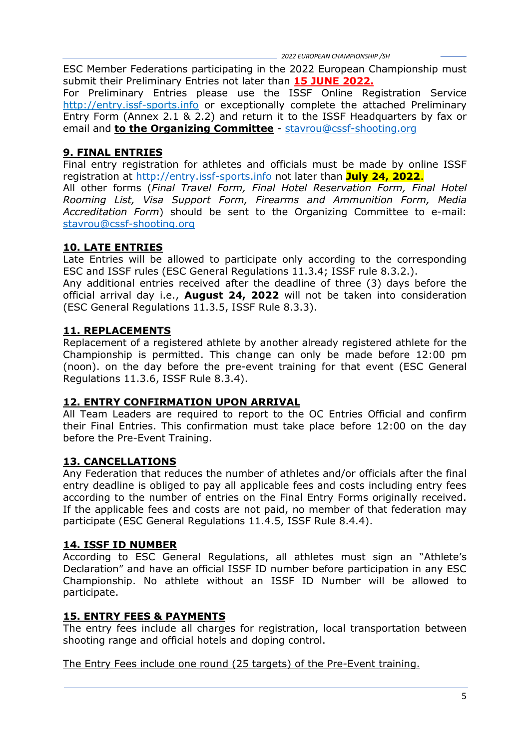ESC Member Federations participating in the 2022 European Championship must submit their Preliminary Entries not later than **15 JUNE 2022.**

For Preliminary Entries please use the ISSF Online Registration Service http://entry.issf-sports.info or exceptionally complete the attached Preliminary Entry Form (Annex 2.1 & 2.2) and return it to the ISSF Headquarters by fax or email and **to the Organizing Committee** - [stavrou@cssf-shooting.org](mailto:stavrou@cssf-shooting.org)

## **9. FINAL ENTRIES**

Final entry registration for athletes and officials must be made by online ISSF registration at [http://entry.issf-sports.info](http://entry.issf-sports.info/) not later than **July 24, 2022**.

All other forms (*Final Travel Form, Final Hotel Reservation Form, Final Hotel Rooming List, Visa Support Form, Firearms and Ammunition Form, Media Accreditation Form*) should be sent to the Organizing Committee to e-mail: [stavrou@cssf-shooting.org](mailto:stavrou@cssf-shooting.org)

## **10. LATE ENTRIES**

Late Entries will be allowed to participate only according to the corresponding ESC and ISSF rules (ESC General Regulations 11.3.4; ISSF rule 8.3.2.).

Any additional entries received after the deadline of three (3) days before the official arrival day i.e., **August 24, 2022** will not be taken into consideration (ESC General Regulations 11.3.5, ISSF Rule 8.3.3).

## **11. REPLACEMENTS**

Replacement of a registered athlete by another already registered athlete for the Championship is permitted. This change can only be made before 12:00 pm (noon). on the day before the pre-event training for that event (ESC General Regulations 11.3.6, ISSF Rule 8.3.4).

## **12. ENTRY CONFIRMATION UPON ARRIVAL**

All Team Leaders are required to report to the OC Entries Official and confirm their Final Entries. This confirmation must take place before 12:00 on the day before the Pre-Event Training.

## **13. CANCELLATIONS**

Any Federation that reduces the number of athletes and/or officials after the final entry deadline is obliged to pay all applicable fees and costs including entry fees according to the number of entries on the Final Entry Forms originally received. If the applicable fees and costs are not paid, no member of that federation may participate (ESC General Regulations 11.4.5, ISSF Rule 8.4.4).

## **14. ISSF ID NUMBER**

According to ESC General Regulations, all athletes must sign an "Athlete"s Declaration" and have an official ISSF ID number before participation in any ESC Championship. No athlete without an ISSF ID Number will be allowed to participate.

## **15. ENTRY FEES & PAYMENTS**

The entry fees include all charges for registration, local transportation between shooting range and official hotels and doping control.

The Entry Fees include one round (25 targets) of the Pre-Event training.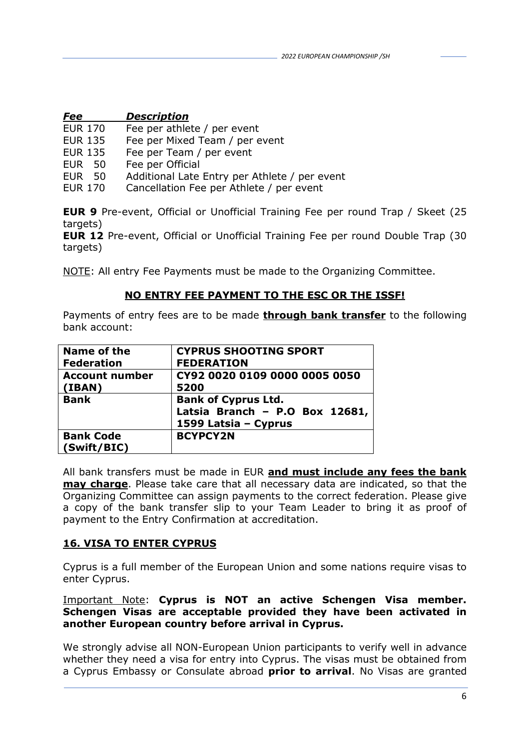| Fee | <b>Description</b> |
|-----|--------------------|
|     |                    |

- EUR 170 Fee per athlete / per event
- EUR 135 Fee per Mixed Team / per event
- EUR 135 Fee per Team / per event
- EUR 50 Fee per Official
- EUR 50 Additional Late Entry per Athlete / per event
- EUR 170 Cancellation Fee per Athlete / per event

**EUR 9** Pre-event, Official or Unofficial Training Fee per round Trap / Skeet (25 targets)

**EUR 12** Pre-event, Official or Unofficial Training Fee per round Double Trap (30 targets)

NOTE: All entry Fee Payments must be made to the Organizing Committee.

## **NO ENTRY FEE PAYMENT TO THE ESC OR THE ISSF!**

Payments of entry fees are to be made **through bank transfer** to the following bank account:

| Name of the           | <b>CYPRUS SHOOTING SPORT</b>   |
|-----------------------|--------------------------------|
| <b>Federation</b>     | <b>FEDERATION</b>              |
| <b>Account number</b> | CY92 0020 0109 0000 0005 0050  |
| (IBAN)                | 5200                           |
| <b>Bank</b>           | <b>Bank of Cyprus Ltd.</b>     |
|                       | Latsia Branch - P.O Box 12681, |
|                       | 1599 Latsia - Cyprus           |
| <b>Bank Code</b>      | <b>BCYPCY2N</b>                |
| (Swift/BIC)           |                                |

All bank transfers must be made in EUR **and must include any fees the bank may charge**. Please take care that all necessary data are indicated, so that the Organizing Committee can assign payments to the correct federation. Please give a copy of the bank transfer slip to your Team Leader to bring it as proof of payment to the Entry Confirmation at accreditation.

## **16. VISA TO ENTER CYPRUS**

Cyprus is a full member of the European Union and some nations require visas to enter Cyprus.

#### Important Note: **Cyprus is NOT an active Schengen Visa member. Schengen Visas are acceptable provided they have been activated in another European country before arrival in Cyprus.**

We strongly advise all NON-European Union participants to verify well in advance whether they need a visa for entry into Cyprus. The visas must be obtained from a Cyprus Embassy or Consulate abroad **prior to arrival**. No Visas are granted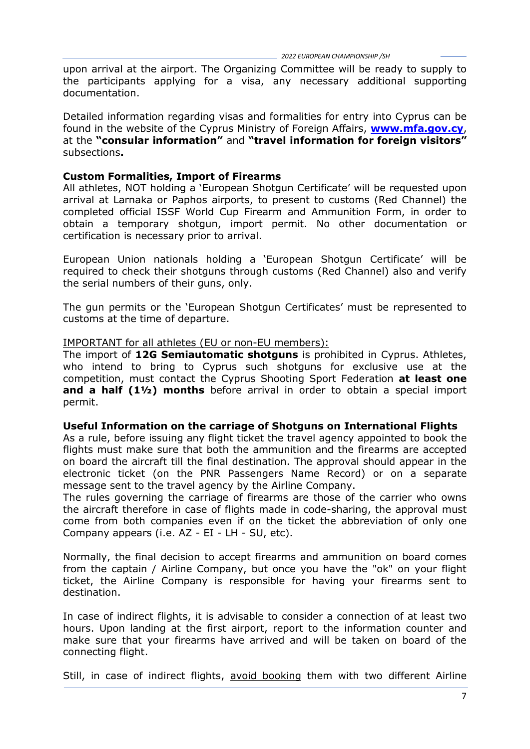upon arrival at the airport. The Organizing Committee will be ready to supply to the participants applying for a visa, any necessary additional supporting documentation.

Detailed information regarding visas and formalities for entry into Cyprus can be found in the website of the Cyprus Ministry of Foreign Affairs, **[www.mfa.gov.cy](http://www.mfa.gov.cy/)**, at the **"consular information"** and **"travel information for foreign visitors"**  subsections**.** 

#### **Custom Formalities, Import of Firearms**

All athletes, NOT holding a 'European Shotgun Certificate' will be requested upon arrival at Larnaka or Paphos airports, to present to customs (Red Channel) the completed official ISSF World Cup Firearm and Ammunition Form, in order to obtain a temporary shotgun, import permit. No other documentation or certification is necessary prior to arrival.

European Union nationals holding a "European Shotgun Certificate" will be required to check their shotguns through customs (Red Channel) also and verify the serial numbers of their guns, only.

The gun permits or the "European Shotgun Certificates" must be represented to customs at the time of departure.

#### IMPORTANT for all athletes (EU or non-EU members):

The import of **12G Semiautomatic shotguns** is prohibited in Cyprus. Athletes, who intend to bring to Cyprus such shotguns for exclusive use at the competition, must contact the Cyprus Shooting Sport Federation **at least one and a half (1½) months** before arrival in order to obtain a special import permit.

#### **Useful Information on the carriage of Shotguns on International Flights**

As a rule, before issuing any flight ticket the travel agency appointed to book the flights must make sure that both the ammunition and the firearms are accepted on board the aircraft till the final destination. The approval should appear in the electronic ticket (on the PNR Passengers Name Record) or on a separate message sent to the travel agency by the Airline Company.

The rules governing the carriage of firearms are those of the carrier who owns the aircraft therefore in case of flights made in code-sharing, the approval must come from both companies even if on the ticket the abbreviation of only one Company appears (i.e. AZ - EI - LH - SU, etc).

Normally, the final decision to accept firearms and ammunition on board comes from the captain / Airline Company, but once you have the "ok" on your flight ticket, the Airline Company is responsible for having your firearms sent to destination.

In case of indirect flights, it is advisable to consider a connection of at least two hours. Upon landing at the first airport, report to the information counter and make sure that your firearms have arrived and will be taken on board of the connecting flight.

Still, in case of indirect flights, avoid booking them with two different Airline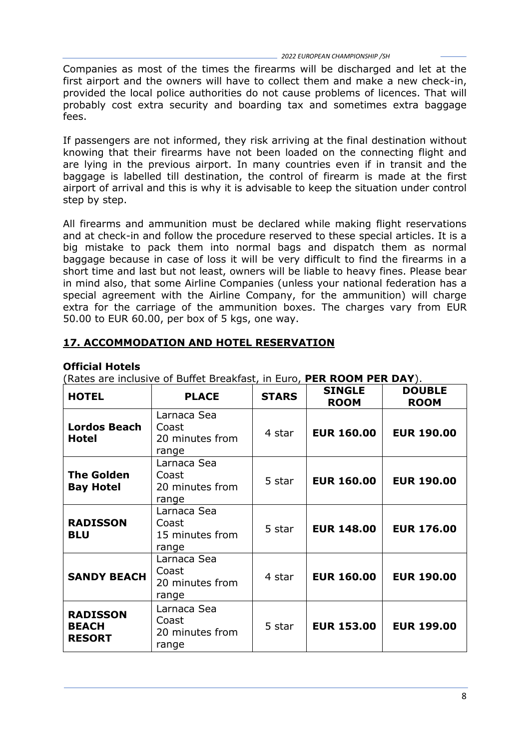Companies as most of the times the firearms will be discharged and let at the first airport and the owners will have to collect them and make a new check-in, provided the local police authorities do not cause problems of licences. That will probably cost extra security and boarding tax and sometimes extra baggage fees.

If passengers are not informed, they risk arriving at the final destination without knowing that their firearms have not been loaded on the connecting flight and are lying in the previous airport. In many countries even if in transit and the baggage is labelled till destination, the control of firearm is made at the first airport of arrival and this is why it is advisable to keep the situation under control step by step.

All firearms and ammunition must be declared while making flight reservations and at check-in and follow the procedure reserved to these special articles. It is a big mistake to pack them into normal bags and dispatch them as normal baggage because in case of loss it will be very difficult to find the firearms in a short time and last but not least, owners will be liable to heavy fines. Please bear in mind also, that some Airline Companies (unless your national federation has a special agreement with the Airline Company, for the ammunition) will charge extra for the carriage of the ammunition boxes. The charges vary from EUR 50.00 to EUR 60.00, per box of 5 kgs, one way.

## **17. ACCOMMODATION AND HOTEL RESERVATION**

## **Official Hotels**

(Rates are inclusive of Buffet Breakfast, in Euro, **PER ROOM PER DAY**).

| <b>HOTEL</b>                                     | <b>PLACE</b>                                     | <b>STARS</b> | <b>SINGLE</b><br><b>ROOM</b> | <b>DOUBLE</b><br><b>ROOM</b> |
|--------------------------------------------------|--------------------------------------------------|--------------|------------------------------|------------------------------|
| <b>Lordos Beach</b><br><b>Hotel</b>              | Larnaca Sea<br>Coast<br>20 minutes from<br>range | 4 star       | <b>EUR 160.00</b>            | <b>EUR 190.00</b>            |
| <b>The Golden</b><br><b>Bay Hotel</b>            | Larnaca Sea<br>Coast<br>20 minutes from<br>range | 5 star       | <b>EUR 160.00</b>            | <b>EUR 190.00</b>            |
| <b>RADISSON</b><br><b>BLU</b>                    | Larnaca Sea<br>Coast<br>15 minutes from<br>range | 5 star       | <b>EUR 148,00</b>            | <b>EUR 176.00</b>            |
| <b>SANDY BEACH</b>                               | Larnaca Sea<br>Coast<br>20 minutes from<br>range | 4 star       | <b>EUR 160.00</b>            | <b>EUR 190.00</b>            |
| <b>RADISSON</b><br><b>BEACH</b><br><b>RESORT</b> | Larnaca Sea<br>Coast<br>20 minutes from<br>range | 5 star       | <b>EUR 153.00</b>            | <b>EUR 199.00</b>            |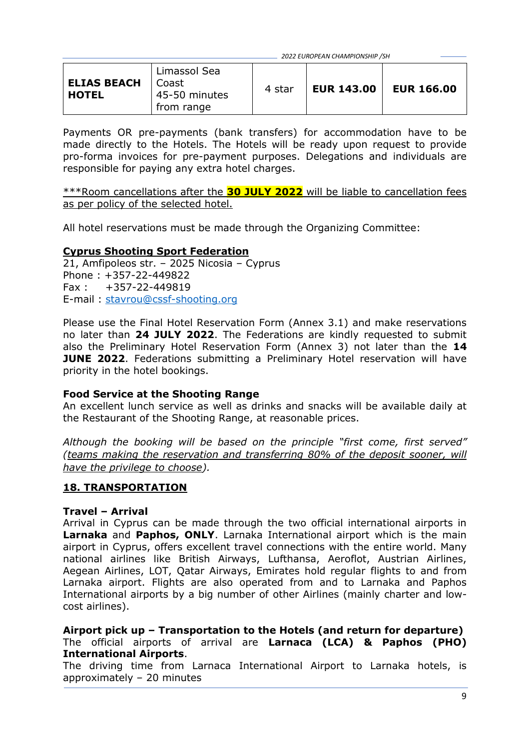| Limassol Sea<br><b>ELIAS BEACH</b><br>l Coast<br><b>HOTEL</b><br>45-50 minutes<br>from range | 4 star | <b>EUR 143.00</b> | <b>EUR 166.00</b> |
|----------------------------------------------------------------------------------------------|--------|-------------------|-------------------|
|----------------------------------------------------------------------------------------------|--------|-------------------|-------------------|

Payments OR pre-payments (bank transfers) for accommodation have to be made directly to the Hotels. The Hotels will be ready upon request to provide pro-forma invoices for pre-payment purposes. Delegations and individuals are responsible for paying any extra hotel charges.

\*\*\*Room cancellations after the **30 JULY 2022** will be liable to cancellation fees as per policy of the selected hotel.

All hotel reservations must be made through the Organizing Committee:

## **Cyprus Shooting Sport Federation**

21, Amfipoleos str. – 2025 Nicosia – Cyprus Phone : +357-22-449822 Fax : +357-22-449819 E-mail : [stavrou@cssf-shooting.org](mailto:stavrou@cssf-shooting.org)

Please use the Final Hotel Reservation Form (Annex 3.1) and make reservations no later than **24 JULY 2022**. The Federations are kindly requested to submit also the Preliminary Hotel Reservation Form (Annex 3) not later than the **14 JUNE 2022.** Federations submitting a Preliminary Hotel reservation will have priority in the hotel bookings.

#### **Food Service at the Shooting Range**

An excellent lunch service as well as drinks and snacks will be available daily at the Restaurant of the Shooting Range, at reasonable prices.

*Although the booking will be based on the principle "first come, first served" (teams making the reservation and transferring 80% of the deposit sooner, will have the privilege to choose).*

#### **18. TRANSPORTATION**

#### **Travel – Arrival**

Arrival in Cyprus can be made through the two official international airports in **Larnaka** and **Paphos, ONLY**. Larnaka International airport which is the main airport in Cyprus, offers excellent travel connections with the entire world. Many national airlines like British Airways, Lufthansa, Aeroflot, Austrian Airlines, Aegean Airlines, LOT, Qatar Airways, Emirates hold regular flights to and from Larnaka airport. Flights are also operated from and to Larnaka and Paphos International airports by a big number of other Airlines (mainly charter and lowcost airlines).

**Airport pick up – Transportation to the Hotels (and return for departure)** The official airports of arrival are **Larnaca (LCA) & Paphos (PHO) International Airports**.

The driving time from Larnaca International Airport to Larnaka hotels, is approximately – 20 minutes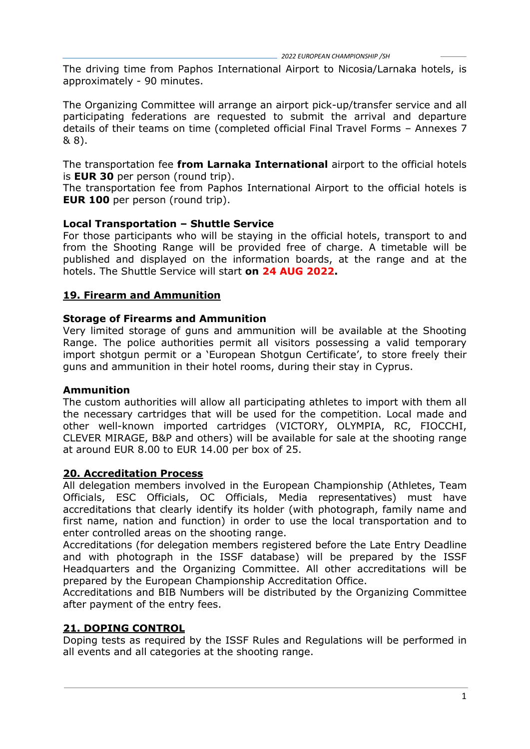The driving time from Paphos International Airport to Nicosia/Larnaka hotels, is approximately - 90 minutes.

The Organizing Committee will arrange an airport pick-up/transfer service and all participating federations are requested to submit the arrival and departure details of their teams on time (completed official Final Travel Forms – Annexes 7 & 8).

The transportation fee **from Larnaka International** airport to the official hotels is **EUR 30** per person (round trip).

The transportation fee from Paphos International Airport to the official hotels is **EUR 100** per person (round trip).

#### **Local Transportation – Shuttle Service**

For those participants who will be staying in the official hotels, transport to and from the Shooting Range will be provided free of charge. A timetable will be published and displayed on the information boards, at the range and at the hotels. The Shuttle Service will start **on 24 AUG 2022.**

#### **19. Firearm and Ammunition**

#### **Storage of Firearms and Ammunition**

Very limited storage of guns and ammunition will be available at the Shooting Range. The police authorities permit all visitors possessing a valid temporary import shotgun permit or a 'European Shotgun Certificate', to store freely their guns and ammunition in their hotel rooms, during their stay in Cyprus.

#### **Ammunition**

The custom authorities will allow all participating athletes to import with them all the necessary cartridges that will be used for the competition. Local made and other well-known imported cartridges (VICTORY, OLYMPIA, RC, FIOCCHI, CLEVER MIRAGE, B&P and others) will be available for sale at the shooting range at around EUR 8.00 to EUR 14.00 per box of 25.

#### **20. Accreditation Process**

All delegation members involved in the European Championship (Athletes, Team Officials, ESC Officials, OC Officials, Media representatives) must have accreditations that clearly identify its holder (with photograph, family name and first name, nation and function) in order to use the local transportation and to enter controlled areas on the shooting range.

Accreditations (for delegation members registered before the Late Entry Deadline and with photograph in the ISSF database) will be prepared by the ISSF Headquarters and the Organizing Committee. All other accreditations will be prepared by the European Championship Accreditation Office.

Accreditations and BIB Numbers will be distributed by the Organizing Committee after payment of the entry fees.

#### **21. DOPING CONTROL**

Doping tests as required by the ISSF Rules and Regulations will be performed in all events and all categories at the shooting range.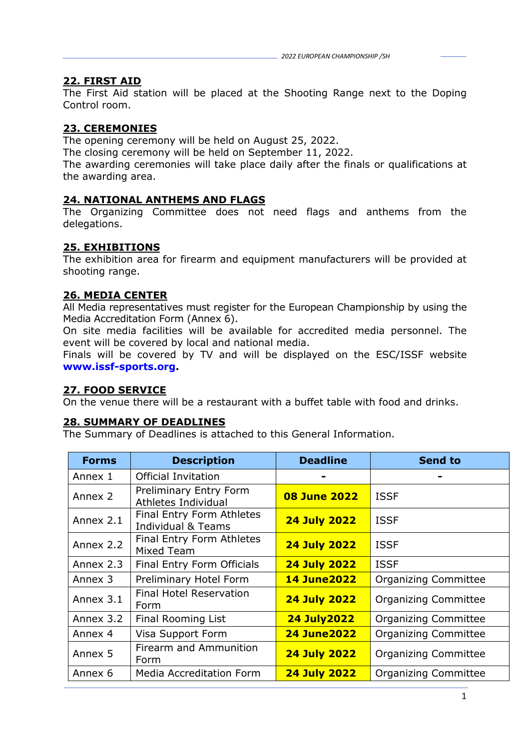## **22. FIRST AID**

The First Aid station will be placed at the Shooting Range next to the Doping Control room.

## **23. CEREMONIES**

The opening ceremony will be held on August 25, 2022.

The closing ceremony will be held on September 11, 2022.

The awarding ceremonies will take place daily after the finals or qualifications at the awarding area.

## **24. NATIONAL ANTHEMS AND FLAGS**

The Organizing Committee does not need flags and anthems from the delegations.

## **25. EXHIBITIONS**

The exhibition area for firearm and equipment manufacturers will be provided at shooting range.

## **26. MEDIA CENTER**

All Media representatives must register for the European Championship by using the Media Accreditation Form (Annex 6).

On site media facilities will be available for accredited media personnel. The event will be covered by local and national media.

Finals will be covered by TV and will be displayed on the ESC/ISSF website **www.issf-sports.org.**

#### **27. FOOD SERVICE**

On the venue there will be a restaurant with a buffet table with food and drinks.

#### **28. SUMMARY OF DEADLINES**

The Summary of Deadlines is attached to this General Information.

| <b>Forms</b> | <b>Description</b>                                         | <b>Deadline</b>     | <b>Send to</b>              |
|--------------|------------------------------------------------------------|---------------------|-----------------------------|
| Annex 1      | <b>Official Invitation</b>                                 |                     |                             |
| Annex 2      | <b>Preliminary Entry Form</b><br>Athletes Individual       | <b>08 June 2022</b> | <b>ISSF</b>                 |
| Annex 2.1    | Final Entry Form Athletes<br><b>Individual &amp; Teams</b> | <b>24 July 2022</b> | <b>ISSF</b>                 |
| Annex 2.2    | Final Entry Form Athletes<br><b>Mixed Team</b>             | <b>24 July 2022</b> | <b>ISSF</b>                 |
| Annex 2.3    | Final Entry Form Officials                                 | <b>24 July 2022</b> | <b>ISSF</b>                 |
| Annex 3      | Preliminary Hotel Form                                     | <b>14 June 2022</b> | <b>Organizing Committee</b> |
| Annex 3.1    | <b>Final Hotel Reservation</b><br>Form                     | <b>24 July 2022</b> | <b>Organizing Committee</b> |
| Annex 3.2    | Final Rooming List                                         | <b>24 July 2022</b> | <b>Organizing Committee</b> |
| Annex 4      | Visa Support Form                                          | <b>24 June 2022</b> | <b>Organizing Committee</b> |
| Annex 5      | Firearm and Ammunition<br>Form                             | <b>24 July 2022</b> | <b>Organizing Committee</b> |
| Annex 6      | <b>Media Accreditation Form</b>                            | <b>24 July 2022</b> | <b>Organizing Committee</b> |